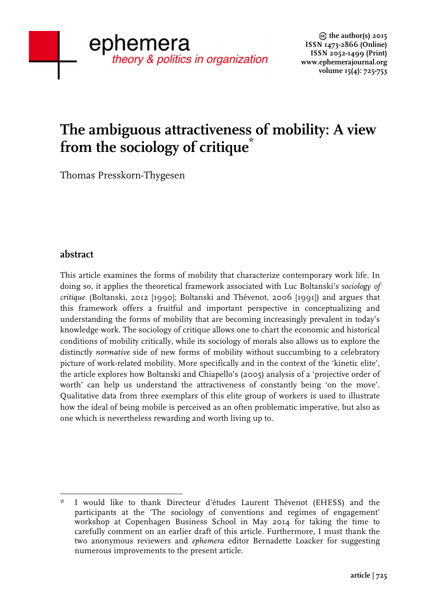# **The ambiguous attractiveness of mobility: A view from the sociology of critique\***

Thomas Presskorn-Thygesen

# **abstract**

This article examines the forms of mobility that characterize contemporary work life. In doing so, it applies the theoretical framework associated with Luc Boltanski's *sociology of critique* (Boltanski, 2012 [1990]; Boltanski and Thévenot, 2006 [1991]) and argues that this framework offers a fruitful and important perspective in conceptualizing and understanding the forms of mobility that are becoming increasingly prevalent in today's knowledge work. The sociology of critique allows one to chart the economic and historical conditions of mobility critically, while its sociology of morals also allows us to explore the distinctly *normative* side of new forms of mobility without succumbing to a celebratory picture of work-related mobility. More specifically and in the context of the 'kinetic elite', the article explores how Boltanski and Chiapello's (2005) analysis of a 'projective order of worth' can help us understand the attractiveness of constantly being 'on the move'. Qualitative data from three exemplars of this elite group of workers is used to illustrate how the ideal of being mobile is perceived as an often problematic imperative, but also as one which is nevertheless rewarding and worth living up to.

<sup>!!!!!!!!!!!!!!!!!!!!!!!!!!!!!!!!!!!!!!!!!!!!!!!!!!!!!!!</sup> I would like to thank Directeur d'études Laurent Thévenot (EHESS) and the participants at the 'The sociology of conventions and regimes of engagement' workshop at Copenhagen Business School in May 2014 for taking the time to carefully comment on an earlier draft of this article. Furthermore, I must thank the two anonymous reviewers and *ephemera* editor Bernadette Loacker for suggesting numerous improvements to the present article.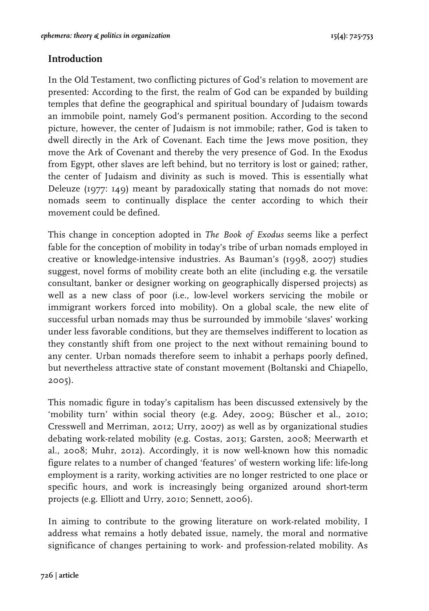# **Introduction**

In the Old Testament, two conflicting pictures of God's relation to movement are presented: According to the first, the realm of God can be expanded by building temples that define the geographical and spiritual boundary of Judaism towards an immobile point, namely God's permanent position. According to the second picture, however, the center of Judaism is not immobile; rather, God is taken to dwell directly in the Ark of Covenant. Each time the Jews move position, they move the Ark of Covenant and thereby the very presence of God. In the Exodus from Egypt, other slaves are left behind, but no territory is lost or gained; rather, the center of Judaism and divinity as such is moved. This is essentially what Deleuze (1977: 149) meant by paradoxically stating that nomads do not move: nomads seem to continually displace the center according to which their movement could be defined.

This change in conception adopted in *The Book of Exodus* seems like a perfect fable for the conception of mobility in today's tribe of urban nomads employed in creative or knowledge-intensive industries. As Bauman's (1998, 2007) studies suggest, novel forms of mobility create both an elite (including e.g. the versatile consultant, banker or designer working on geographically dispersed projects) as well as a new class of poor (i.e., low-level workers servicing the mobile or immigrant workers forced into mobility). On a global scale, the new elite of successful urban nomads may thus be surrounded by immobile 'slaves' working under less favorable conditions, but they are themselves indifferent to location as they constantly shift from one project to the next without remaining bound to any center. Urban nomads therefore seem to inhabit a perhaps poorly defined, but nevertheless attractive state of constant movement (Boltanski and Chiapello, 2005).

This nomadic figure in today's capitalism has been discussed extensively by the 'mobility turn' within social theory (e.g. Adey, 2009; Büscher et al., 2010; Cresswell and Merriman, 2012; Urry, 2007) as well as by organizational studies debating work-related mobility (e.g. Costas, 2013; Garsten, 2008; Meerwarth et al., 2008; Muhr, 2012). Accordingly, it is now well-known how this nomadic figure relates to a number of changed 'features' of western working life: life-long employment is a rarity, working activities are no longer restricted to one place or specific hours, and work is increasingly being organized around short-term projects (e.g. Elliott and Urry, 2010; Sennett, 2006).

In aiming to contribute to the growing literature on work-related mobility, I address what remains a hotly debated issue, namely, the moral and normative significance of changes pertaining to work- and profession-related mobility. As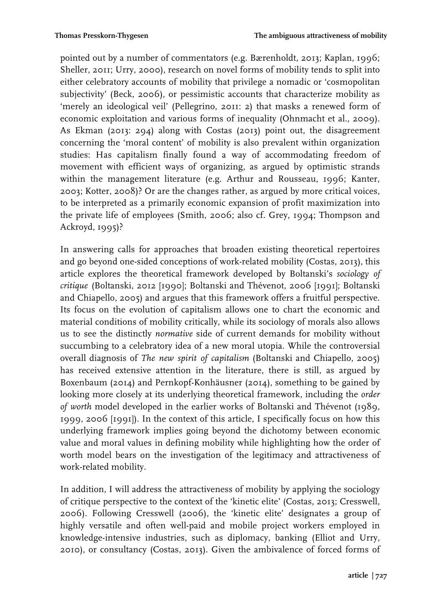pointed out by a number of commentators (e.g. Bærenholdt, 2013; Kaplan, 1996; Sheller, 2011; Urry, 2000), research on novel forms of mobility tends to split into either celebratory accounts of mobility that privilege a nomadic or 'cosmopolitan subjectivity' (Beck, 2006), or pessimistic accounts that characterize mobility as 'merely an ideological veil' (Pellegrino, 2011: 2) that masks a renewed form of economic exploitation and various forms of inequality (Ohnmacht et al., 2009). As Ekman (2013: 294) along with Costas (2013) point out, the disagreement concerning the 'moral content' of mobility is also prevalent within organization studies: Has capitalism finally found a way of accommodating freedom of movement with efficient ways of organizing, as argued by optimistic strands within the management literature (e.g. Arthur and Rousseau, 1996; Kanter, 2003; Kotter, 2008)? Or are the changes rather, as argued by more critical voices, to be interpreted as a primarily economic expansion of profit maximization into the private life of employees (Smith, 2006; also cf. Grey, 1994; Thompson and Ackroyd, 1995)?

In answering calls for approaches that broaden existing theoretical repertoires and go beyond one-sided conceptions of work-related mobility (Costas, 2013), this article explores the theoretical framework developed by Boltanski's *sociology of critique* (Boltanski, 2012 [1990]; Boltanski and Thévenot, 2006 [1991]; Boltanski and Chiapello, 2005) and argues that this framework offers a fruitful perspective. Its focus on the evolution of capitalism allows one to chart the economic and material conditions of mobility critically, while its sociology of morals also allows us to see the distinctly *normative* side of current demands for mobility without succumbing to a celebratory idea of a new moral utopia. While the controversial overall diagnosis of *The new spirit of capitalism* (Boltanski and Chiapello, 2005) has received extensive attention in the literature, there is still, as argued by Boxenbaum (2014) and Pernkopf-Konhäusner (2014), something to be gained by looking more closely at its underlying theoretical framework, including the *order of worth* model developed in the earlier works of Boltanski and Thévenot (1989, 1999, 2006 [1991]). In the context of this article, I specifically focus on how this underlying framework implies going beyond the dichotomy between economic value and moral values in defining mobility while highlighting how the order of worth model bears on the investigation of the legitimacy and attractiveness of work-related mobility.

In addition, I will address the attractiveness of mobility by applying the sociology of critique perspective to the context of the 'kinetic elite' (Costas, 2013; Cresswell, 2006). Following Cresswell (2006), the 'kinetic elite' designates a group of highly versatile and often well-paid and mobile project workers employed in knowledge-intensive industries, such as diplomacy, banking (Elliot and Urry, 2010), or consultancy (Costas, 2013). Given the ambivalence of forced forms of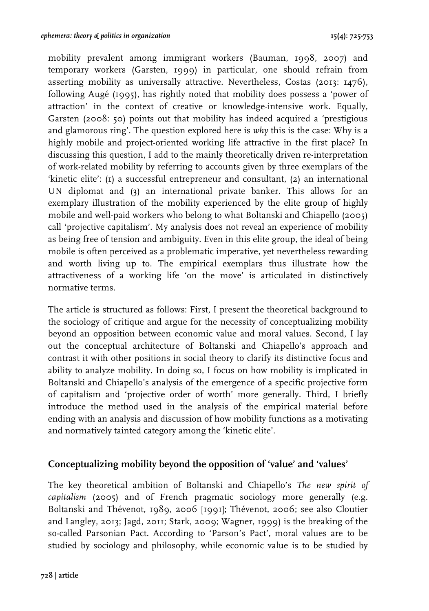mobility prevalent among immigrant workers (Bauman, 1998, 2007) and temporary workers (Garsten, 1999) in particular, one should refrain from asserting mobility as universally attractive. Nevertheless, Costas (2013: 1476), following Augé (1995), has rightly noted that mobility does possess a 'power of attraction' in the context of creative or knowledge-intensive work. Equally, Garsten (2008: 50) points out that mobility has indeed acquired a 'prestigious and glamorous ring'. The question explored here is *why* this is the case: Why is a highly mobile and project-oriented working life attractive in the first place? In discussing this question, I add to the mainly theoretically driven re-interpretation of work-related mobility by referring to accounts given by three exemplars of the 'kinetic elite': (1) a successful entrepreneur and consultant, (2) an international UN diplomat and (3) an international private banker. This allows for an exemplary illustration of the mobility experienced by the elite group of highly mobile and well-paid workers who belong to what Boltanski and Chiapello (2005) call 'projective capitalism'. My analysis does not reveal an experience of mobility as being free of tension and ambiguity. Even in this elite group, the ideal of being mobile is often perceived as a problematic imperative, yet nevertheless rewarding and worth living up to. The empirical exemplars thus illustrate how the attractiveness of a working life 'on the move' is articulated in distinctively normative terms.

The article is structured as follows: First, I present the theoretical background to the sociology of critique and argue for the necessity of conceptualizing mobility beyond an opposition between economic value and moral values. Second, I lay out the conceptual architecture of Boltanski and Chiapello's approach and contrast it with other positions in social theory to clarify its distinctive focus and ability to analyze mobility. In doing so, I focus on how mobility is implicated in Boltanski and Chiapello's analysis of the emergence of a specific projective form of capitalism and 'projective order of worth' more generally. Third, I briefly introduce the method used in the analysis of the empirical material before ending with an analysis and discussion of how mobility functions as a motivating and normatively tainted category among the 'kinetic elite'.

## **Conceptualizing mobility beyond the opposition of 'value' and 'values'**

The key theoretical ambition of Boltanski and Chiapello's *The new spirit of capitalism* (2005) and of French pragmatic sociology more generally (e.g. Boltanski and Thévenot, 1989, 2006 [1991]; Thévenot, 2006; see also Cloutier and Langley, 2013; Jagd, 2011; Stark, 2009; Wagner, 1999) is the breaking of the so-called Parsonian Pact. According to 'Parson's Pact', moral values are to be studied by sociology and philosophy, while economic value is to be studied by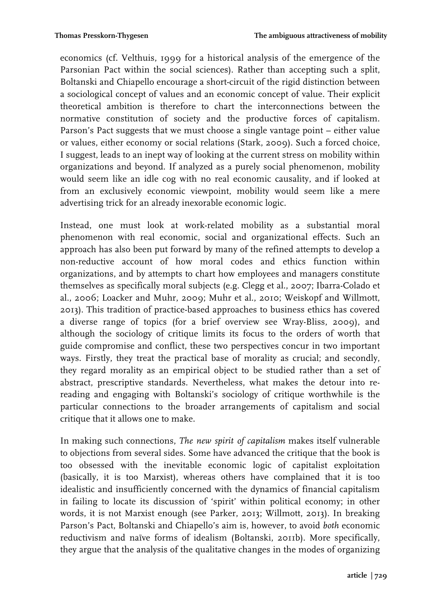economics (cf. Velthuis, 1999 for a historical analysis of the emergence of the Parsonian Pact within the social sciences). Rather than accepting such a split, Boltanski and Chiapello encourage a short-circuit of the rigid distinction between a sociological concept of values and an economic concept of value. Their explicit theoretical ambition is therefore to chart the interconnections between the normative constitution of society and the productive forces of capitalism. Parson's Pact suggests that we must choose a single vantage point – either value or values, either economy or social relations (Stark, 2009). Such a forced choice, I suggest, leads to an inept way of looking at the current stress on mobility within organizations and beyond. If analyzed as a purely social phenomenon, mobility would seem like an idle cog with no real economic causality, and if looked at from an exclusively economic viewpoint, mobility would seem like a mere advertising trick for an already inexorable economic logic.

Instead, one must look at work-related mobility as a substantial moral phenomenon with real economic, social and organizational effects. Such an approach has also been put forward by many of the refined attempts to develop a non-reductive account of how moral codes and ethics function within organizations, and by attempts to chart how employees and managers constitute themselves as specifically moral subjects (e.g. Clegg et al., 2007; Ibarra-Colado et al., 2006; Loacker and Muhr, 2009; Muhr et al., 2010; Weiskopf and Willmott, 2013). This tradition of practice-based approaches to business ethics has covered a diverse range of topics (for a brief overview see Wray-Bliss, 2009), and although the sociology of critique limits its focus to the orders of worth that guide compromise and conflict, these two perspectives concur in two important ways. Firstly, they treat the practical base of morality as crucial; and secondly, they regard morality as an empirical object to be studied rather than a set of abstract, prescriptive standards. Nevertheless, what makes the detour into rereading and engaging with Boltanski's sociology of critique worthwhile is the particular connections to the broader arrangements of capitalism and social critique that it allows one to make.

In making such connections, *The new spirit of capitalism* makes itself vulnerable to objections from several sides. Some have advanced the critique that the book is too obsessed with the inevitable economic logic of capitalist exploitation (basically, it is too Marxist), whereas others have complained that it is too idealistic and insufficiently concerned with the dynamics of financial capitalism in failing to locate its discussion of 'spirit' within political economy; in other words, it is not Marxist enough (see Parker, 2013; Willmott, 2013). In breaking Parson's Pact, Boltanski and Chiapello's aim is, however, to avoid *both* economic reductivism and naïve forms of idealism (Boltanski, 2011b). More specifically, they argue that the analysis of the qualitative changes in the modes of organizing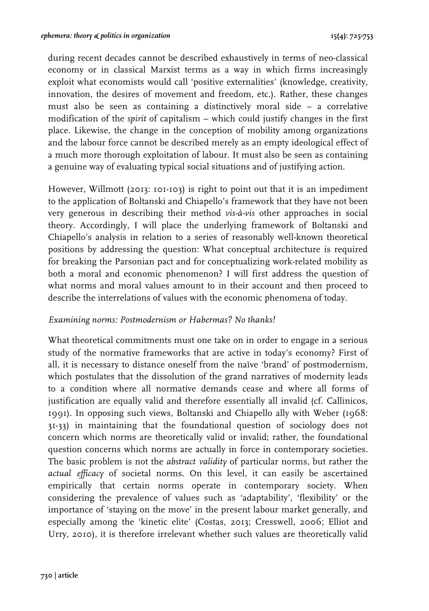during recent decades cannot be described exhaustively in terms of neo-classical economy or in classical Marxist terms as a way in which firms increasingly exploit what economists would call 'positive externalities' (knowledge, creativity, innovation, the desires of movement and freedom, etc.). Rather, these changes must also be seen as containing a distinctively moral side – a correlative modification of the *spirit* of capitalism – which could justify changes in the first place. Likewise, the change in the conception of mobility among organizations and the labour force cannot be described merely as an empty ideological effect of a much more thorough exploitation of labour. It must also be seen as containing a genuine way of evaluating typical social situations and of justifying action.

However, Willmott (2013: 101-103) is right to point out that it is an impediment to the application of Boltanski and Chiapello's framework that they have not been very generous in describing their method *vis-à-vis* other approaches in social theory. Accordingly, I will place the underlying framework of Boltanski and Chiapello's analysis in relation to a series of reasonably well-known theoretical positions by addressing the question: What conceptual architecture is required for breaking the Parsonian pact and for conceptualizing work-related mobility as both a moral and economic phenomenon? I will first address the question of what norms and moral values amount to in their account and then proceed to describe the interrelations of values with the economic phenomena of today.

## *Examining norms: Postmodernism or Habermas? No thanks!*

What theoretical commitments must one take on in order to engage in a serious study of the normative frameworks that are active in today's economy? First of all, it is necessary to distance oneself from the naïve 'brand' of postmodernism, which postulates that the dissolution of the grand narratives of modernity leads to a condition where all normative demands cease and where all forms of justification are equally valid and therefore essentially all invalid (cf. Callinicos, 1991). In opposing such views, Boltanski and Chiapello ally with Weber (1968: 31-33) in maintaining that the foundational question of sociology does not concern which norms are theoretically valid or invalid; rather, the foundational question concerns which norms are actually in force in contemporary societies. The basic problem is not the *abstract validity* of particular norms, but rather the *actual efficacy* of societal norms. On this level, it can easily be ascertained empirically that certain norms operate in contemporary society. When considering the prevalence of values such as 'adaptability', 'flexibility' or the importance of 'staying on the move' in the present labour market generally, and especially among the 'kinetic elite' (Costas, 2013; Cresswell, 2006; Elliot and Urry, 2010), it is therefore irrelevant whether such values are theoretically valid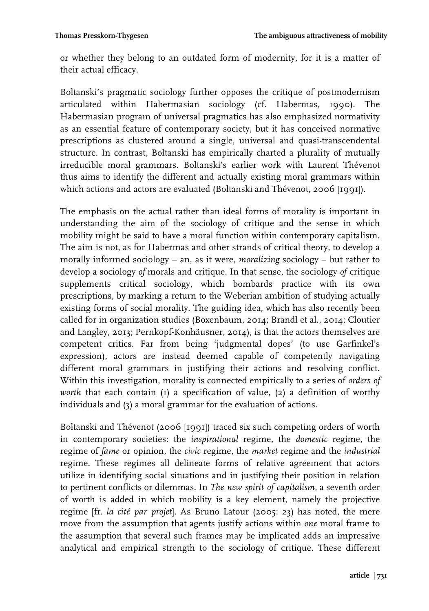or whether they belong to an outdated form of modernity, for it is a matter of their actual efficacy.

Boltanski's pragmatic sociology further opposes the critique of postmodernism articulated within Habermasian sociology (cf. Habermas, 1990). The Habermasian program of universal pragmatics has also emphasized normativity as an essential feature of contemporary society, but it has conceived normative prescriptions as clustered around a single, universal and quasi-transcendental structure. In contrast, Boltanski has empirically charted a plurality of mutually irreducible moral grammars. Boltanski's earlier work with Laurent Thévenot thus aims to identify the different and actually existing moral grammars within which actions and actors are evaluated (Boltanski and Thévenot, 2006 [1991]).

The emphasis on the actual rather than ideal forms of morality is important in understanding the aim of the sociology of critique and the sense in which mobility might be said to have a moral function within contemporary capitalism. The aim is not, as for Habermas and other strands of critical theory, to develop a morally informed sociology – an, as it were, *moralizing* sociology – but rather to develop a sociology *of* morals and critique. In that sense, the sociology *of* critique supplements critical sociology, which bombards practice with its own prescriptions, by marking a return to the Weberian ambition of studying actually existing forms of social morality. The guiding idea, which has also recently been called for in organization studies (Boxenbaum, 2014; Brandl et al., 2014; Cloutier and Langley, 2013; Pernkopf-Konhäusner, 2014), is that the actors themselves are competent critics. Far from being 'judgmental dopes' (to use Garfinkel's expression), actors are instead deemed capable of competently navigating different moral grammars in justifying their actions and resolving conflict. Within this investigation, morality is connected empirically to a series of *orders of worth* that each contain (1) a specification of value, (2) a definition of worthy individuals and (3) a moral grammar for the evaluation of actions.

Boltanski and Thévenot (2006 [1991]) traced six such competing orders of worth in contemporary societies: the *inspirational* regime, the *domestic* regime, the regime of *fame* or opinion, the *civic* regime, the *market* regime and the *industrial* regime. These regimes all delineate forms of relative agreement that actors utilize in identifying social situations and in justifying their position in relation to pertinent conflicts or dilemmas. In *The new spirit of capitalism*, a seventh order of worth is added in which mobility is a key element, namely the projective regime [fr. *la cité par projet*]. As Bruno Latour (2005: 23) has noted, the mere move from the assumption that agents justify actions within *one* moral frame to the assumption that several such frames may be implicated adds an impressive analytical and empirical strength to the sociology of critique. These different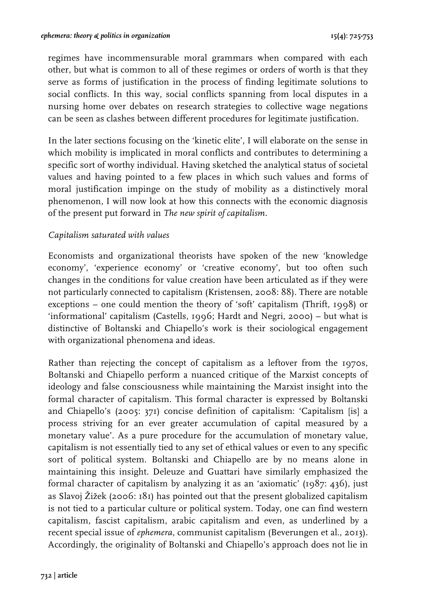regimes have incommensurable moral grammars when compared with each other, but what is common to all of these regimes or orders of worth is that they serve as forms of justification in the process of finding legitimate solutions to social conflicts. In this way, social conflicts spanning from local disputes in a nursing home over debates on research strategies to collective wage negations can be seen as clashes between different procedures for legitimate justification.

In the later sections focusing on the 'kinetic elite', I will elaborate on the sense in which mobility is implicated in moral conflicts and contributes to determining a specific sort of worthy individual. Having sketched the analytical status of societal values and having pointed to a few places in which such values and forms of moral justification impinge on the study of mobility as a distinctively moral phenomenon, I will now look at how this connects with the economic diagnosis of the present put forward in *The new spirit of capitalism*.

#### *Capitalism saturated with values*

Economists and organizational theorists have spoken of the new 'knowledge economy', 'experience economy' or 'creative economy', but too often such changes in the conditions for value creation have been articulated as if they were not particularly connected to capitalism (Kristensen, 2008: 88). There are notable exceptions – one could mention the theory of 'soft' capitalism (Thrift, 1998) or 'informational' capitalism (Castells, 1996; Hardt and Negri, 2000) – but what is distinctive of Boltanski and Chiapello's work is their sociological engagement with organizational phenomena and ideas.

Rather than rejecting the concept of capitalism as a leftover from the 1970s, Boltanski and Chiapello perform a nuanced critique of the Marxist concepts of ideology and false consciousness while maintaining the Marxist insight into the formal character of capitalism. This formal character is expressed by Boltanski and Chiapello's (2005: 371) concise definition of capitalism: 'Capitalism [is] a process striving for an ever greater accumulation of capital measured by a monetary value'. As a pure procedure for the accumulation of monetary value, capitalism is not essentially tied to any set of ethical values or even to any specific sort of political system. Boltanski and Chiapello are by no means alone in maintaining this insight. Deleuze and Guattari have similarly emphasized the formal character of capitalism by analyzing it as an 'axiomatic' (1987: 436), just as Slavoj Žižek (2006: 181) has pointed out that the present globalized capitalism is not tied to a particular culture or political system. Today, one can find western capitalism, fascist capitalism, arabic capitalism and even, as underlined by a recent special issue of *ephemera*, communist capitalism (Beverungen et al., 2013). Accordingly, the originality of Boltanski and Chiapello's approach does not lie in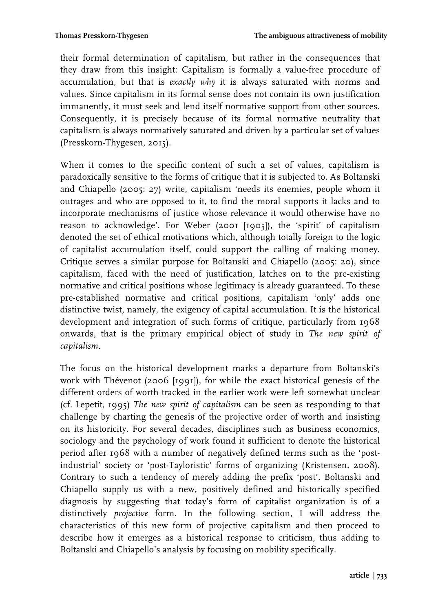their formal determination of capitalism, but rather in the consequences that they draw from this insight: Capitalism is formally a value-free procedure of accumulation, but that is *exactly why* it is always saturated with norms and values. Since capitalism in its formal sense does not contain its own justification immanently, it must seek and lend itself normative support from other sources. Consequently, it is precisely because of its formal normative neutrality that capitalism is always normatively saturated and driven by a particular set of values (Presskorn-Thygesen, 2015).

When it comes to the specific content of such a set of values, capitalism is paradoxically sensitive to the forms of critique that it is subjected to. As Boltanski and Chiapello (2005: 27) write, capitalism 'needs its enemies, people whom it outrages and who are opposed to it, to find the moral supports it lacks and to incorporate mechanisms of justice whose relevance it would otherwise have no reason to acknowledge'. For Weber (2001 [1905]), the 'spirit' of capitalism denoted the set of ethical motivations which, although totally foreign to the logic of capitalist accumulation itself, could support the calling of making money. Critique serves a similar purpose for Boltanski and Chiapello (2005: 20), since capitalism, faced with the need of justification, latches on to the pre-existing normative and critical positions whose legitimacy is already guaranteed. To these pre-established normative and critical positions, capitalism 'only' adds one distinctive twist, namely, the exigency of capital accumulation. It is the historical development and integration of such forms of critique, particularly from 1968 onwards, that is the primary empirical object of study in *The new spirit of capitalism*.

The focus on the historical development marks a departure from Boltanski's work with Thévenot (2006 [1991]), for while the exact historical genesis of the different orders of worth tracked in the earlier work were left somewhat unclear (cf. Lepetit, 1995) *The new spirit of capitalism* can be seen as responding to that challenge by charting the genesis of the projective order of worth and insisting on its historicity. For several decades, disciplines such as business economics, sociology and the psychology of work found it sufficient to denote the historical period after 1968 with a number of negatively defined terms such as the 'postindustrial' society or 'post-Tayloristic' forms of organizing (Kristensen, 2008). Contrary to such a tendency of merely adding the prefix 'post', Boltanski and Chiapello supply us with a new, positively defined and historically specified diagnosis by suggesting that today's form of capitalist organization is of a distinctively *projective* form. In the following section, I will address the characteristics of this new form of projective capitalism and then proceed to describe how it emerges as a historical response to criticism, thus adding to Boltanski and Chiapello's analysis by focusing on mobility specifically.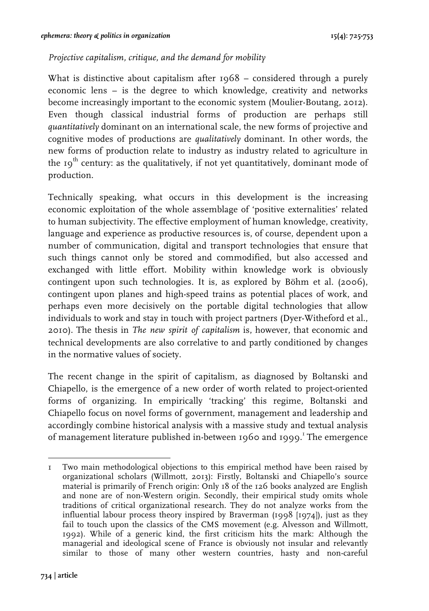#### *Projective capitalism, critique, and the demand for mobility*

What is distinctive about capitalism after 1968 – considered through a purely economic lens – is the degree to which knowledge, creativity and networks become increasingly important to the economic system (Moulier-Boutang, 2012). Even though classical industrial forms of production are perhaps still *quantitatively* dominant on an international scale, the new forms of projective and cognitive modes of productions are *qualitatively* dominant. In other words, the new forms of production relate to industry as industry related to agriculture in the  $19<sup>th</sup>$  century: as the qualitatively, if not yet quantitatively, dominant mode of production.

Technically speaking, what occurs in this development is the increasing economic exploitation of the whole assemblage of 'positive externalities' related to human subjectivity. The effective employment of human knowledge, creativity, language and experience as productive resources is, of course, dependent upon a number of communication, digital and transport technologies that ensure that such things cannot only be stored and commodified, but also accessed and exchanged with little effort. Mobility within knowledge work is obviously contingent upon such technologies. It is, as explored by Böhm et al. (2006), contingent upon planes and high-speed trains as potential places of work, and perhaps even more decisively on the portable digital technologies that allow individuals to work and stay in touch with project partners (Dyer-Witheford et al., 2010). The thesis in *The new spirit of capitalism* is, however, that economic and technical developments are also correlative to and partly conditioned by changes in the normative values of society.

The recent change in the spirit of capitalism, as diagnosed by Boltanski and Chiapello, is the emergence of a new order of worth related to project-oriented forms of organizing. In empirically 'tracking' this regime, Boltanski and Chiapello focus on novel forms of government, management and leadership and accordingly combine historical analysis with a massive study and textual analysis of management literature published in-between 1960 and 1999.<sup>1</sup> The emergence

!!!!!!!!!!!!!!!!!!!!!!!!!!!!!!!!!!!!!!!!!!!!!!!!!!!!!!!

<sup>1</sup> Two main methodological objections to this empirical method have been raised by organizational scholars (Willmott, 2013): Firstly, Boltanski and Chiapello's source material is primarily of French origin: Only 18 of the 126 books analyzed are English and none are of non-Western origin. Secondly, their empirical study omits whole traditions of critical organizational research. They do not analyze works from the influential labour process theory inspired by Braverman (1998 [1974]), just as they fail to touch upon the classics of the CMS movement (e.g. Alvesson and Willmott, 1992). While of a generic kind, the first criticism hits the mark: Although the managerial and ideological scene of France is obviously not insular and relevantly similar to those of many other western countries, hasty and non-careful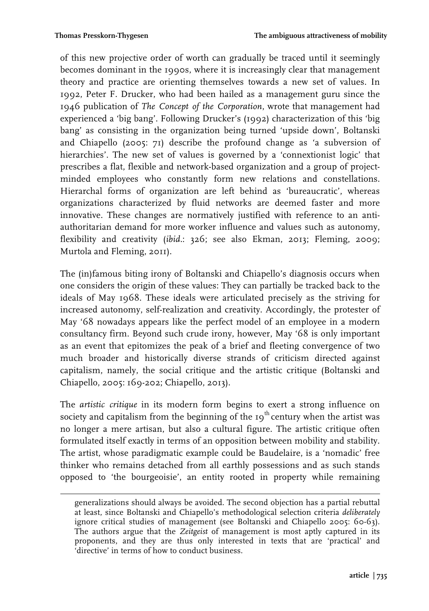of this new projective order of worth can gradually be traced until it seemingly becomes dominant in the 1990s, where it is increasingly clear that management theory and practice are orienting themselves towards a new set of values. In 1992, Peter F. Drucker, who had been hailed as a management guru since the 1946 publication of *The Concept of the Corporation*, wrote that management had experienced a 'big bang'. Following Drucker's (1992) characterization of this 'big bang' as consisting in the organization being turned 'upside down', Boltanski and Chiapello (2005: 71) describe the profound change as 'a subversion of hierarchies'. The new set of values is governed by a 'connextionist logic' that prescribes a flat, flexible and network-based organization and a group of projectminded employees who constantly form new relations and constellations. Hierarchal forms of organization are left behind as 'bureaucratic', whereas organizations characterized by fluid networks are deemed faster and more innovative. These changes are normatively justified with reference to an antiauthoritarian demand for more worker influence and values such as autonomy, flexibility and creativity (*ibid.*: 326; see also Ekman, 2013; Fleming, 2009; Murtola and Fleming, 2011).

The (in)famous biting irony of Boltanski and Chiapello's diagnosis occurs when one considers the origin of these values: They can partially be tracked back to the ideals of May 1968. These ideals were articulated precisely as the striving for increased autonomy, self-realization and creativity. Accordingly, the protester of May '68 nowadays appears like the perfect model of an employee in a modern consultancy firm. Beyond such crude irony, however, May '68 is only important as an event that epitomizes the peak of a brief and fleeting convergence of two much broader and historically diverse strands of criticism directed against capitalism, namely, the social critique and the artistic critique (Boltanski and Chiapello, 2005: 169-202; Chiapello, 2013).

The *artistic critique* in its modern form begins to exert a strong influence on society and capitalism from the beginning of the  $19<sup>th</sup>$  century when the artist was no longer a mere artisan, but also a cultural figure. The artistic critique often formulated itself exactly in terms of an opposition between mobility and stability. The artist, whose paradigmatic example could be Baudelaire, is a 'nomadic' free thinker who remains detached from all earthly possessions and as such stands opposed to 'the bourgeoisie', an entity rooted in property while remaining

!!!!!!!!!!!!!!!!!!!!!!!!!!!!!!!!!!!!!!!!!!!!!!!!!!!!!!!!!!!!!!!!!!!!!!!!!!!!!!!!!!!!!!!!!!!!!!!!!!!!!!!!!!!!!!!!!!!!!!!!!!!!!!!!!!!!!!!!!!!!!!!

generalizations should always be avoided. The second objection has a partial rebuttal at least, since Boltanski and Chiapello's methodological selection criteria *deliberately* ignore critical studies of management (see Boltanski and Chiapello 2005: 60-63). The authors argue that the *Zeitgeist* of management is most aptly captured in its proponents, and they are thus only interested in texts that are 'practical' and 'directive' in terms of how to conduct business.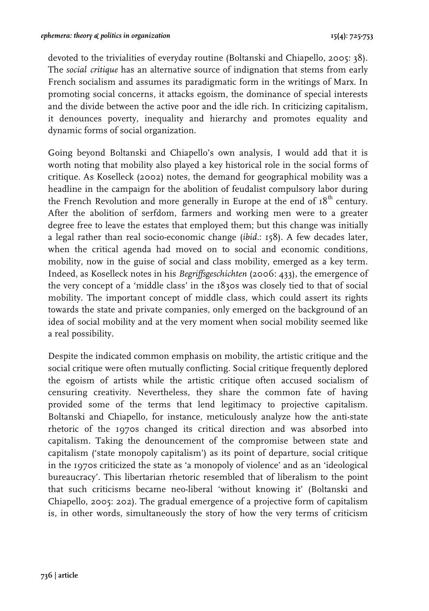devoted to the trivialities of everyday routine (Boltanski and Chiapello, 2005: 38). The *social critique* has an alternative source of indignation that stems from early French socialism and assumes its paradigmatic form in the writings of Marx. In promoting social concerns, it attacks egoism, the dominance of special interests and the divide between the active poor and the idle rich. In criticizing capitalism, it denounces poverty, inequality and hierarchy and promotes equality and dynamic forms of social organization.

Going beyond Boltanski and Chiapello's own analysis, I would add that it is worth noting that mobility also played a key historical role in the social forms of critique. As Koselleck (2002) notes, the demand for geographical mobility was a headline in the campaign for the abolition of feudalist compulsory labor during the French Revolution and more generally in Europe at the end of  $18<sup>th</sup>$  century. After the abolition of serfdom, farmers and working men were to a greater degree free to leave the estates that employed them; but this change was initially a legal rather than real socio-economic change (*ibid.*: 158). A few decades later, when the critical agenda had moved on to social and economic conditions, mobility, now in the guise of social and class mobility, emerged as a key term. Indeed, as Koselleck notes in his *Begriffsgeschichten* (2006: 433), the emergence of the very concept of a 'middle class' in the 1830s was closely tied to that of social mobility. The important concept of middle class, which could assert its rights towards the state and private companies, only emerged on the background of an idea of social mobility and at the very moment when social mobility seemed like a real possibility.

Despite the indicated common emphasis on mobility, the artistic critique and the social critique were often mutually conflicting. Social critique frequently deplored the egoism of artists while the artistic critique often accused socialism of censuring creativity. Nevertheless, they share the common fate of having provided some of the terms that lend legitimacy to projective capitalism. Boltanski and Chiapello, for instance, meticulously analyze how the anti-state rhetoric of the 1970s changed its critical direction and was absorbed into capitalism. Taking the denouncement of the compromise between state and capitalism ('state monopoly capitalism') as its point of departure, social critique in the 1970s criticized the state as 'a monopoly of violence' and as an 'ideological bureaucracy'. This libertarian rhetoric resembled that of liberalism to the point that such criticisms became neo-liberal 'without knowing it' (Boltanski and Chiapello, 2005: 202). The gradual emergence of a projective form of capitalism is, in other words, simultaneously the story of how the very terms of criticism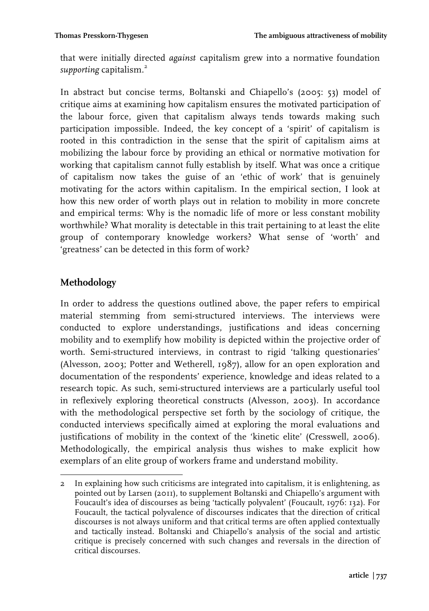that were initially directed *against* capitalism grew into a normative foundation supporting capitalism.<sup>2</sup>

In abstract but concise terms, Boltanski and Chiapello's (2005: 53) model of critique aims at examining how capitalism ensures the motivated participation of the labour force, given that capitalism always tends towards making such participation impossible. Indeed, the key concept of a 'spirit' of capitalism is rooted in this contradiction in the sense that the spirit of capitalism aims at mobilizing the labour force by providing an ethical or normative motivation for working that capitalism cannot fully establish by itself. What was once a critique of capitalism now takes the guise of an 'ethic of work' that is genuinely motivating for the actors within capitalism. In the empirical section, I look at how this new order of worth plays out in relation to mobility in more concrete and empirical terms: Why is the nomadic life of more or less constant mobility worthwhile? What morality is detectable in this trait pertaining to at least the elite group of contemporary knowledge workers? What sense of 'worth' and 'greatness' can be detected in this form of work?

# **Methodology**

In order to address the questions outlined above, the paper refers to empirical material stemming from semi-structured interviews. The interviews were conducted to explore understandings, justifications and ideas concerning mobility and to exemplify how mobility is depicted within the projective order of worth. Semi-structured interviews, in contrast to rigid 'talking questionaries' (Alvesson, 2003; Potter and Wetherell, 1987), allow for an open exploration and documentation of the respondents' experience, knowledge and ideas related to a research topic. As such, semi-structured interviews are a particularly useful tool in reflexively exploring theoretical constructs (Alvesson, 2003). In accordance with the methodological perspective set forth by the sociology of critique, the conducted interviews specifically aimed at exploring the moral evaluations and justifications of mobility in the context of the 'kinetic elite' (Cresswell, 2006). Methodologically, the empirical analysis thus wishes to make explicit how exemplars of an elite group of workers frame and understand mobility.

<sup>!!!!!!!!!!!!!!!!!!!!!!!!!!!!!!!!!!!!!!!!!!!!!!!!!!!!!!!</sup> 2 In explaining how such criticisms are integrated into capitalism, it is enlightening, as pointed out by Larsen (2011), to supplement Boltanski and Chiapello's argument with Foucault's idea of discourses as being 'tactically polyvalent' (Foucault, 1976: 132). For Foucault, the tactical polyvalence of discourses indicates that the direction of critical discourses is not always uniform and that critical terms are often applied contextually and tactically instead. Boltanski and Chiapello's analysis of the social and artistic critique is precisely concerned with such changes and reversals in the direction of critical discourses.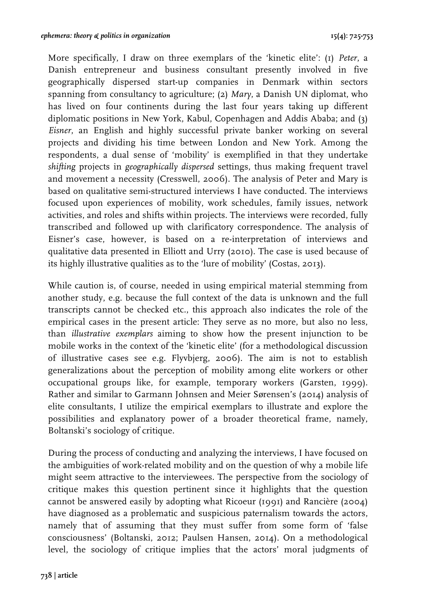More specifically, I draw on three exemplars of the 'kinetic elite': (1) *Peter*, a Danish entrepreneur and business consultant presently involved in five geographically dispersed start-up companies in Denmark within sectors spanning from consultancy to agriculture; (2) *Mary*, a Danish UN diplomat, who has lived on four continents during the last four years taking up different diplomatic positions in New York, Kabul, Copenhagen and Addis Ababa; and (3) *Eisner*, an English and highly successful private banker working on several projects and dividing his time between London and New York. Among the respondents, a dual sense of 'mobility' is exemplified in that they undertake *shifting* projects in *geographically dispersed* settings, thus making frequent travel and movement a necessity (Cresswell, 2006). The analysis of Peter and Mary is based on qualitative semi-structured interviews I have conducted. The interviews focused upon experiences of mobility, work schedules, family issues, network activities, and roles and shifts within projects. The interviews were recorded, fully transcribed and followed up with clarificatory correspondence. The analysis of Eisner's case, however, is based on a re-interpretation of interviews and qualitative data presented in Elliott and Urry (2010). The case is used because of its highly illustrative qualities as to the 'lure of mobility' (Costas, 2013).

While caution is, of course, needed in using empirical material stemming from another study, e.g. because the full context of the data is unknown and the full transcripts cannot be checked etc., this approach also indicates the role of the empirical cases in the present article: They serve as no more, but also no less, than *illustrative exemplars* aiming to show how the present injunction to be mobile works in the context of the 'kinetic elite' (for a methodological discussion of illustrative cases see e.g. Flyvbjerg, 2006). The aim is not to establish generalizations about the perception of mobility among elite workers or other occupational groups like, for example, temporary workers (Garsten, 1999). Rather and similar to Garmann Johnsen and Meier Sørensen's (2014) analysis of elite consultants, I utilize the empirical exemplars to illustrate and explore the possibilities and explanatory power of a broader theoretical frame, namely, Boltanski's sociology of critique.

During the process of conducting and analyzing the interviews, I have focused on the ambiguities of work-related mobility and on the question of why a mobile life might seem attractive to the interviewees. The perspective from the sociology of critique makes this question pertinent since it highlights that the question cannot be answered easily by adopting what Ricoeur (1991) and Rancière (2004) have diagnosed as a problematic and suspicious paternalism towards the actors, namely that of assuming that they must suffer from some form of 'false consciousness' (Boltanski, 2012; Paulsen Hansen, 2014). On a methodological level, the sociology of critique implies that the actors' moral judgments of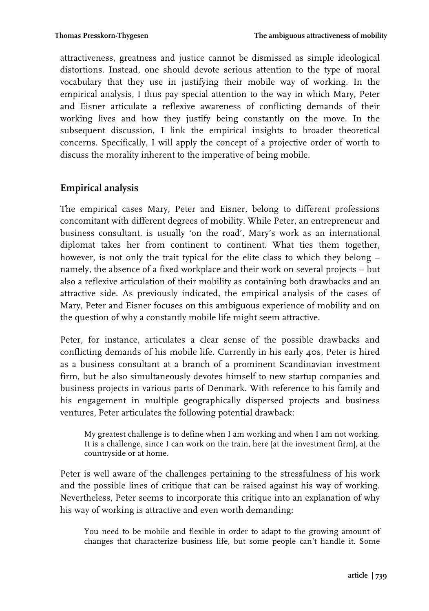attractiveness, greatness and justice cannot be dismissed as simple ideological distortions. Instead, one should devote serious attention to the type of moral vocabulary that they use in justifying their mobile way of working. In the empirical analysis, I thus pay special attention to the way in which Mary, Peter and Eisner articulate a reflexive awareness of conflicting demands of their working lives and how they justify being constantly on the move. In the subsequent discussion, I link the empirical insights to broader theoretical concerns. Specifically, I will apply the concept of a projective order of worth to discuss the morality inherent to the imperative of being mobile.

# **Empirical analysis**

The empirical cases Mary, Peter and Eisner, belong to different professions concomitant with different degrees of mobility. While Peter, an entrepreneur and business consultant, is usually 'on the road', Mary's work as an international diplomat takes her from continent to continent. What ties them together, however, is not only the trait typical for the elite class to which they belong – namely, the absence of a fixed workplace and their work on several projects – but also a reflexive articulation of their mobility as containing both drawbacks and an attractive side. As previously indicated, the empirical analysis of the cases of Mary, Peter and Eisner focuses on this ambiguous experience of mobility and on the question of why a constantly mobile life might seem attractive.

Peter, for instance, articulates a clear sense of the possible drawbacks and conflicting demands of his mobile life. Currently in his early 40s, Peter is hired as a business consultant at a branch of a prominent Scandinavian investment firm, but he also simultaneously devotes himself to new startup companies and business projects in various parts of Denmark. With reference to his family and his engagement in multiple geographically dispersed projects and business ventures, Peter articulates the following potential drawback:

My greatest challenge is to define when I am working and when I am not working. It is a challenge, since I can work on the train, here [at the investment firm], at the countryside or at home.

Peter is well aware of the challenges pertaining to the stressfulness of his work and the possible lines of critique that can be raised against his way of working. Nevertheless, Peter seems to incorporate this critique into an explanation of why his way of working is attractive and even worth demanding:

You need to be mobile and flexible in order to adapt to the growing amount of changes that characterize business life, but some people can't handle it. Some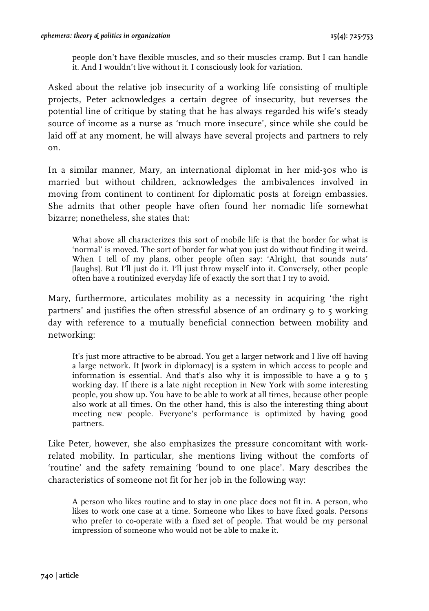people don't have flexible muscles, and so their muscles cramp. But I can handle it. And I wouldn't live without it. I consciously look for variation.

Asked about the relative job insecurity of a working life consisting of multiple projects, Peter acknowledges a certain degree of insecurity, but reverses the potential line of critique by stating that he has always regarded his wife's steady source of income as a nurse as 'much more insecure', since while she could be laid off at any moment, he will always have several projects and partners to rely on.

In a similar manner, Mary, an international diplomat in her mid-30s who is married but without children, acknowledges the ambivalences involved in moving from continent to continent for diplomatic posts at foreign embassies. She admits that other people have often found her nomadic life somewhat bizarre; nonetheless, she states that:

What above all characterizes this sort of mobile life is that the border for what is 'normal' is moved. The sort of border for what you just do without finding it weird. When I tell of my plans, other people often say: 'Alright, that sounds nuts' [laughs]. But I'll just do it. I'll just throw myself into it. Conversely, other people often have a routinized everyday life of exactly the sort that I try to avoid.

Mary, furthermore, articulates mobility as a necessity in acquiring 'the right partners' and justifies the often stressful absence of an ordinary 9 to 5 working day with reference to a mutually beneficial connection between mobility and networking:

It's just more attractive to be abroad. You get a larger network and I live off having a large network. It [work in diplomacy] is a system in which access to people and information is essential. And that's also why it is impossible to have a 9 to 5 working day. If there is a late night reception in New York with some interesting people, you show up. You have to be able to work at all times, because other people also work at all times. On the other hand, this is also the interesting thing about meeting new people. Everyone's performance is optimized by having good partners.

Like Peter, however, she also emphasizes the pressure concomitant with workrelated mobility. In particular, she mentions living without the comforts of 'routine' and the safety remaining 'bound to one place'. Mary describes the characteristics of someone not fit for her job in the following way:

A person who likes routine and to stay in one place does not fit in. A person, who likes to work one case at a time. Someone who likes to have fixed goals. Persons who prefer to co-operate with a fixed set of people. That would be my personal impression of someone who would not be able to make it.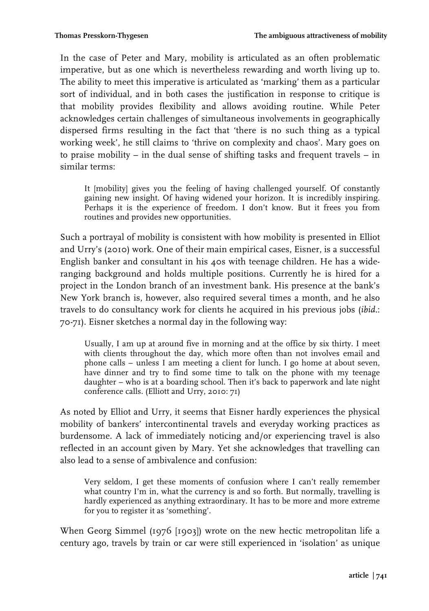In the case of Peter and Mary, mobility is articulated as an often problematic imperative, but as one which is nevertheless rewarding and worth living up to. The ability to meet this imperative is articulated as 'marking' them as a particular sort of individual, and in both cases the justification in response to critique is that mobility provides flexibility and allows avoiding routine. While Peter acknowledges certain challenges of simultaneous involvements in geographically dispersed firms resulting in the fact that 'there is no such thing as a typical working week', he still claims to 'thrive on complexity and chaos'. Mary goes on to praise mobility – in the dual sense of shifting tasks and frequent travels – in similar terms:

It [mobility] gives you the feeling of having challenged yourself. Of constantly gaining new insight. Of having widened your horizon. It is incredibly inspiring. Perhaps it is the experience of freedom. I don't know. But it frees you from routines and provides new opportunities.

Such a portrayal of mobility is consistent with how mobility is presented in Elliot and Urry's (2010) work. One of their main empirical cases, Eisner, is a successful English banker and consultant in his 40s with teenage children. He has a wideranging background and holds multiple positions. Currently he is hired for a project in the London branch of an investment bank. His presence at the bank's New York branch is, however, also required several times a month, and he also travels to do consultancy work for clients he acquired in his previous jobs (*ibid.*: 70-71). Eisner sketches a normal day in the following way:

Usually, I am up at around five in morning and at the office by six thirty. I meet with clients throughout the day, which more often than not involves email and phone calls – unless I am meeting a client for lunch. I go home at about seven, have dinner and try to find some time to talk on the phone with my teenage daughter – who is at a boarding school. Then it's back to paperwork and late night conference calls. (Elliott and Urry, 2010: 71)

As noted by Elliot and Urry, it seems that Eisner hardly experiences the physical mobility of bankers' intercontinental travels and everyday working practices as burdensome. A lack of immediately noticing and/or experiencing travel is also reflected in an account given by Mary. Yet she acknowledges that travelling can also lead to a sense of ambivalence and confusion:

Very seldom, I get these moments of confusion where I can't really remember what country I'm in, what the currency is and so forth. But normally, travelling is hardly experienced as anything extraordinary. It has to be more and more extreme for you to register it as 'something'.

When Georg Simmel (1976 [1903]) wrote on the new hectic metropolitan life a century ago, travels by train or car were still experienced in 'isolation' as unique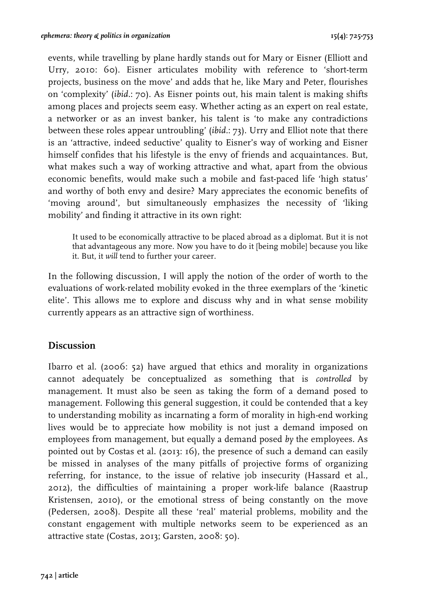events, while travelling by plane hardly stands out for Mary or Eisner (Elliott and Urry, 2010: 60). Eisner articulates mobility with reference to 'short-term projects, business on the move' and adds that he, like Mary and Peter, flourishes on 'complexity' (*ibid.*: 70). As Eisner points out, his main talent is making shifts among places and projects seem easy. Whether acting as an expert on real estate, a networker or as an invest banker, his talent is 'to make any contradictions between these roles appear untroubling' (*ibid.*: 73). Urry and Elliot note that there is an 'attractive, indeed seductive' quality to Eisner's way of working and Eisner himself confides that his lifestyle is the envy of friends and acquaintances. But, what makes such a way of working attractive and what, apart from the obvious economic benefits, would make such a mobile and fast-paced life 'high status' and worthy of both envy and desire? Mary appreciates the economic benefits of 'moving around', but simultaneously emphasizes the necessity of 'liking mobility' and finding it attractive in its own right:

It used to be economically attractive to be placed abroad as a diplomat. But it is not that advantageous any more. Now you have to do it [being mobile] because you like it. But, it *will* tend to further your career.

In the following discussion, I will apply the notion of the order of worth to the evaluations of work-related mobility evoked in the three exemplars of the 'kinetic elite'. This allows me to explore and discuss why and in what sense mobility currently appears as an attractive sign of worthiness.

## **Discussion**

Ibarro et al. (2006: 52) have argued that ethics and morality in organizations cannot adequately be conceptualized as something that is *controlled* by management. It must also be seen as taking the form of a demand posed to management. Following this general suggestion, it could be contended that a key to understanding mobility as incarnating a form of morality in high-end working lives would be to appreciate how mobility is not just a demand imposed on employees from management, but equally a demand posed *by* the employees. As pointed out by Costas et al. (2013: 16), the presence of such a demand can easily be missed in analyses of the many pitfalls of projective forms of organizing referring, for instance, to the issue of relative job insecurity (Hassard et al., 2012), the difficulties of maintaining a proper work-life balance (Raastrup Kristensen, 2010), or the emotional stress of being constantly on the move (Pedersen, 2008). Despite all these 'real' material problems, mobility and the constant engagement with multiple networks seem to be experienced as an attractive state (Costas, 2013; Garsten, 2008: 50).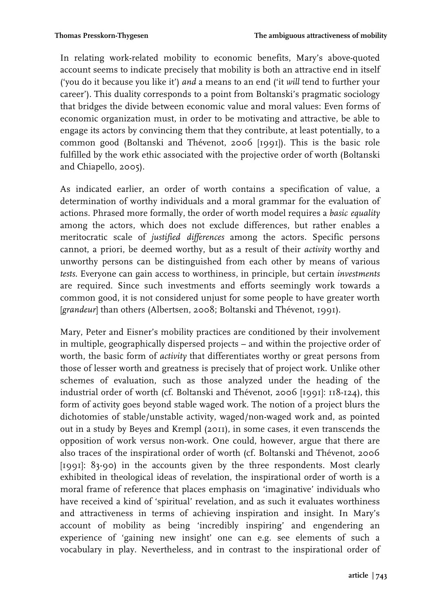In relating work-related mobility to economic benefits, Mary's above-quoted account seems to indicate precisely that mobility is both an attractive end in itself ('you do it because you like it') *and* a means to an end ('it *will* tend to further your career'). This duality corresponds to a point from Boltanski's pragmatic sociology that bridges the divide between economic value and moral values: Even forms of economic organization must, in order to be motivating and attractive, be able to engage its actors by convincing them that they contribute, at least potentially, to a common good (Boltanski and Thévenot, 2006 [1991]). This is the basic role fulfilled by the work ethic associated with the projective order of worth (Boltanski and Chiapello, 2005).

As indicated earlier, an order of worth contains a specification of value, a determination of worthy individuals and a moral grammar for the evaluation of actions. Phrased more formally, the order of worth model requires a *basic equality* among the actors, which does not exclude differences, but rather enables a meritocratic scale of *justified differences* among the actors. Specific persons cannot, a priori, be deemed worthy, but as a result of their *activity* worthy and unworthy persons can be distinguished from each other by means of various *tests*. Everyone can gain access to worthiness, in principle, but certain *investments* are required. Since such investments and efforts seemingly work towards a common good, it is not considered unjust for some people to have greater worth [*grandeur*] than others (Albertsen, 2008; Boltanski and Thévenot, 1991).

Mary, Peter and Eisner's mobility practices are conditioned by their involvement in multiple, geographically dispersed projects – and within the projective order of worth, the basic form of *activity* that differentiates worthy or great persons from those of lesser worth and greatness is precisely that of project work. Unlike other schemes of evaluation, such as those analyzed under the heading of the industrial order of worth (cf. Boltanski and Thévenot, 2006 [1991]: 118-124), this form of activity goes beyond stable waged work. The notion of a project blurs the dichotomies of stable/unstable activity, waged/non-waged work and, as pointed out in a study by Beyes and Krempl (2011), in some cases, it even transcends the opposition of work versus non-work. One could, however, argue that there are also traces of the inspirational order of worth (cf. Boltanski and Thévenot, 2006 [1991]: 83-90) in the accounts given by the three respondents. Most clearly exhibited in theological ideas of revelation, the inspirational order of worth is a moral frame of reference that places emphasis on 'imaginative' individuals who have received a kind of 'spiritual' revelation, and as such it evaluates worthiness and attractiveness in terms of achieving inspiration and insight. In Mary's account of mobility as being 'incredibly inspiring' and engendering an experience of 'gaining new insight' one can e.g. see elements of such a vocabulary in play. Nevertheless, and in contrast to the inspirational order of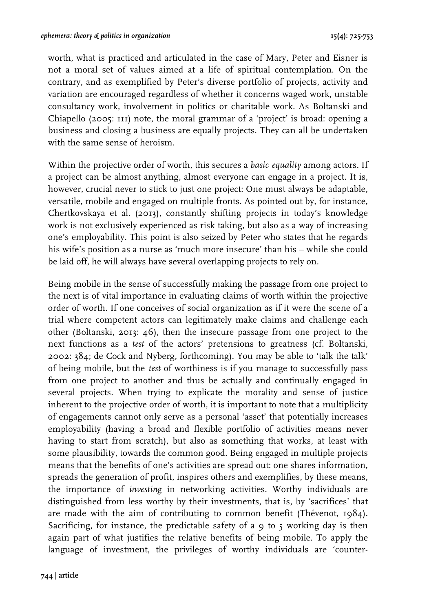worth, what is practiced and articulated in the case of Mary, Peter and Eisner is not a moral set of values aimed at a life of spiritual contemplation. On the contrary, and as exemplified by Peter's diverse portfolio of projects, activity and variation are encouraged regardless of whether it concerns waged work, unstable consultancy work, involvement in politics or charitable work. As Boltanski and Chiapello (2005: 111) note, the moral grammar of a 'project' is broad: opening a business and closing a business are equally projects. They can all be undertaken with the same sense of heroism.

Within the projective order of worth, this secures a *basic equality* among actors. If a project can be almost anything, almost everyone can engage in a project. It is, however, crucial never to stick to just one project: One must always be adaptable, versatile, mobile and engaged on multiple fronts. As pointed out by, for instance, Chertkovskaya et al. (2013), constantly shifting projects in today's knowledge work is not exclusively experienced as risk taking, but also as a way of increasing one's employability. This point is also seized by Peter who states that he regards his wife's position as a nurse as 'much more insecure' than his – while she could be laid off, he will always have several overlapping projects to rely on.

Being mobile in the sense of successfully making the passage from one project to the next is of vital importance in evaluating claims of worth within the projective order of worth. If one conceives of social organization as if it were the scene of a trial where competent actors can legitimately make claims and challenge each other (Boltanski, 2013: 46), then the insecure passage from one project to the next functions as a *test* of the actors' pretensions to greatness (cf. Boltanski, 2002: 384; de Cock and Nyberg, forthcoming). You may be able to 'talk the talk' of being mobile, but the *test* of worthiness is if you manage to successfully pass from one project to another and thus be actually and continually engaged in several projects. When trying to explicate the morality and sense of justice inherent to the projective order of worth, it is important to note that a multiplicity of engagements cannot only serve as a personal 'asset' that potentially increases employability (having a broad and flexible portfolio of activities means never having to start from scratch), but also as something that works, at least with some plausibility, towards the common good. Being engaged in multiple projects means that the benefits of one's activities are spread out: one shares information, spreads the generation of profit, inspires others and exemplifies, by these means, the importance of *investing* in networking activities. Worthy individuals are distinguished from less worthy by their investments, that is, by 'sacrifices' that are made with the aim of contributing to common benefit (Thévenot, 1984). Sacrificing, for instance, the predictable safety of a  $\circ$  to  $\circ$  working day is then again part of what justifies the relative benefits of being mobile. To apply the language of investment, the privileges of worthy individuals are 'counter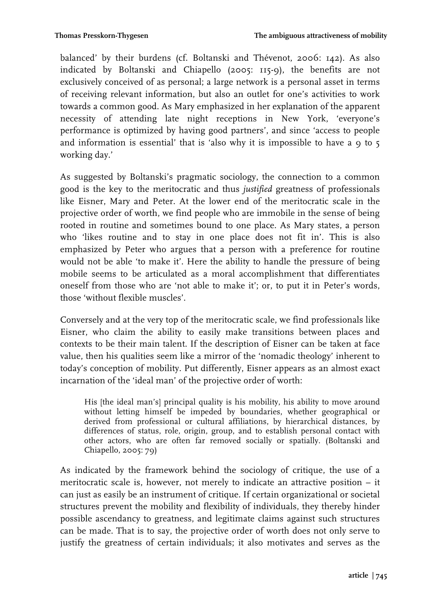balanced' by their burdens (cf. Boltanski and Thévenot, 2006: 142). As also indicated by Boltanski and Chiapello (2005: 115-9), the benefits are not exclusively conceived of as personal; a large network is a personal asset in terms of receiving relevant information, but also an outlet for one's activities to work towards a common good. As Mary emphasized in her explanation of the apparent necessity of attending late night receptions in New York, 'everyone's performance is optimized by having good partners', and since 'access to people and information is essential' that is 'also why it is impossible to have a  $\circ$  to  $\circ$ working day.'

As suggested by Boltanski's pragmatic sociology, the connection to a common good is the key to the meritocratic and thus *justified* greatness of professionals like Eisner, Mary and Peter. At the lower end of the meritocratic scale in the projective order of worth, we find people who are immobile in the sense of being rooted in routine and sometimes bound to one place. As Mary states, a person who 'likes routine and to stay in one place does not fit in'. This is also emphasized by Peter who argues that a person with a preference for routine would not be able 'to make it'. Here the ability to handle the pressure of being mobile seems to be articulated as a moral accomplishment that differentiates oneself from those who are 'not able to make it'; or, to put it in Peter's words, those 'without flexible muscles'.

Conversely and at the very top of the meritocratic scale, we find professionals like Eisner, who claim the ability to easily make transitions between places and contexts to be their main talent. If the description of Eisner can be taken at face value, then his qualities seem like a mirror of the 'nomadic theology' inherent to today's conception of mobility. Put differently, Eisner appears as an almost exact incarnation of the 'ideal man' of the projective order of worth:

His [the ideal man's] principal quality is his mobility, his ability to move around without letting himself be impeded by boundaries, whether geographical or derived from professional or cultural affiliations, by hierarchical distances, by differences of status, role, origin, group, and to establish personal contact with other actors, who are often far removed socially or spatially. (Boltanski and Chiapello, 2005: 79)

As indicated by the framework behind the sociology of critique, the use of a meritocratic scale is, however, not merely to indicate an attractive position – it can just as easily be an instrument of critique. If certain organizational or societal structures prevent the mobility and flexibility of individuals, they thereby hinder possible ascendancy to greatness, and legitimate claims against such structures can be made. That is to say, the projective order of worth does not only serve to justify the greatness of certain individuals; it also motivates and serves as the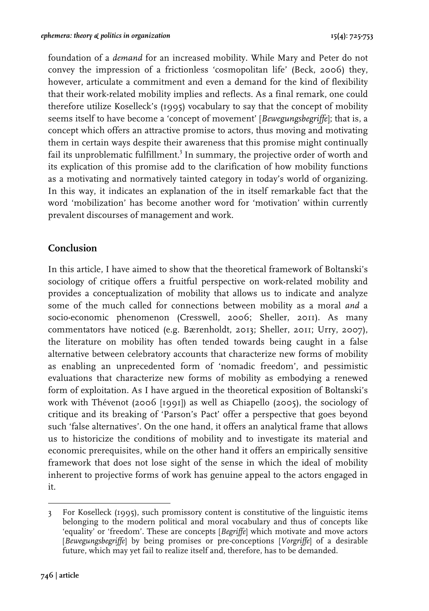foundation of a *demand* for an increased mobility. While Mary and Peter do not convey the impression of a frictionless 'cosmopolitan life' (Beck, 2006) they, however, articulate a commitment and even a demand for the kind of flexibility that their work-related mobility implies and reflects. As a final remark, one could therefore utilize Koselleck's (1995) vocabulary to say that the concept of mobility seems itself to have become a 'concept of movement' [*Bewegungsbegriffe*]; that is, a concept which offers an attractive promise to actors, thus moving and motivating them in certain ways despite their awareness that this promise might continually fail its unproblematic fulfillment.<sup>3</sup> In summary, the projective order of worth and its explication of this promise add to the clarification of how mobility functions as a motivating and normatively tainted category in today's world of organizing. In this way, it indicates an explanation of the in itself remarkable fact that the word 'mobilization' has become another word for 'motivation' within currently prevalent discourses of management and work.

# **Conclusion**

In this article, I have aimed to show that the theoretical framework of Boltanski's sociology of critique offers a fruitful perspective on work-related mobility and provides a conceptualization of mobility that allows us to indicate and analyze some of the much called for connections between mobility as a moral *and* a socio-economic phenomenon (Cresswell, 2006; Sheller, 2011). As many commentators have noticed (e.g. Bærenholdt, 2013; Sheller, 2011; Urry, 2007), the literature on mobility has often tended towards being caught in a false alternative between celebratory accounts that characterize new forms of mobility as enabling an unprecedented form of 'nomadic freedom', and pessimistic evaluations that characterize new forms of mobility as embodying a renewed form of exploitation. As I have argued in the theoretical exposition of Boltanski's work with Thévenot (2006 [1991]) as well as Chiapello (2005), the sociology of critique and its breaking of 'Parson's Pact' offer a perspective that goes beyond such 'false alternatives'. On the one hand, it offers an analytical frame that allows us to historicize the conditions of mobility and to investigate its material and economic prerequisites, while on the other hand it offers an empirically sensitive framework that does not lose sight of the sense in which the ideal of mobility inherent to projective forms of work has genuine appeal to the actors engaged in it.

!!!!!!!!!!!!!!!!!!!!!!!!!!!!!!!!!!!!!!!!!!!!!!!!!!!!!!!

<sup>3</sup> For Koselleck (1995), such promissory content is constitutive of the linguistic items belonging to the modern political and moral vocabulary and thus of concepts like 'equality' or 'freedom'. These are concepts [*Begriffe*] which motivate and move actors [*Bewegungsbegriffe*] by being promises or pre-conceptions [*Vorgriffe*] of a desirable future, which may yet fail to realize itself and, therefore, has to be demanded.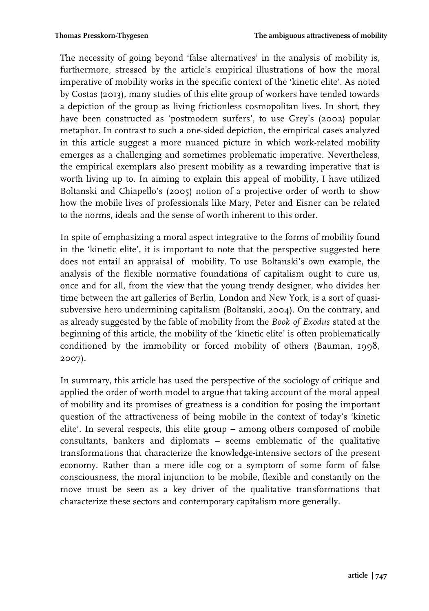The necessity of going beyond 'false alternatives' in the analysis of mobility is, furthermore, stressed by the article's empirical illustrations of how the moral imperative of mobility works in the specific context of the 'kinetic elite'. As noted by Costas (2013), many studies of this elite group of workers have tended towards a depiction of the group as living frictionless cosmopolitan lives. In short, they have been constructed as 'postmodern surfers', to use Grey's (2002) popular metaphor. In contrast to such a one-sided depiction, the empirical cases analyzed in this article suggest a more nuanced picture in which work-related mobility emerges as a challenging and sometimes problematic imperative. Nevertheless, the empirical exemplars also present mobility as a rewarding imperative that is worth living up to. In aiming to explain this appeal of mobility, I have utilized Boltanski and Chiapello's (2005) notion of a projective order of worth to show how the mobile lives of professionals like Mary, Peter and Eisner can be related to the norms, ideals and the sense of worth inherent to this order.

In spite of emphasizing a moral aspect integrative to the forms of mobility found in the 'kinetic elite', it is important to note that the perspective suggested here does not entail an appraisal of mobility. To use Boltanski's own example, the analysis of the flexible normative foundations of capitalism ought to cure us, once and for all, from the view that the young trendy designer, who divides her time between the art galleries of Berlin, London and New York, is a sort of quasisubversive hero undermining capitalism (Boltanski, 2004). On the contrary, and as already suggested by the fable of mobility from the *Book of Exodus* stated at the beginning of this article, the mobility of the 'kinetic elite' is often problematically conditioned by the immobility or forced mobility of others (Bauman, 1998, 2007).

In summary, this article has used the perspective of the sociology of critique and applied the order of worth model to argue that taking account of the moral appeal of mobility and its promises of greatness is a condition for posing the important question of the attractiveness of being mobile in the context of today's 'kinetic elite'. In several respects, this elite group – among others composed of mobile consultants, bankers and diplomats – seems emblematic of the qualitative transformations that characterize the knowledge-intensive sectors of the present economy. Rather than a mere idle cog or a symptom of some form of false consciousness, the moral injunction to be mobile, flexible and constantly on the move must be seen as a key driver of the qualitative transformations that characterize these sectors and contemporary capitalism more generally.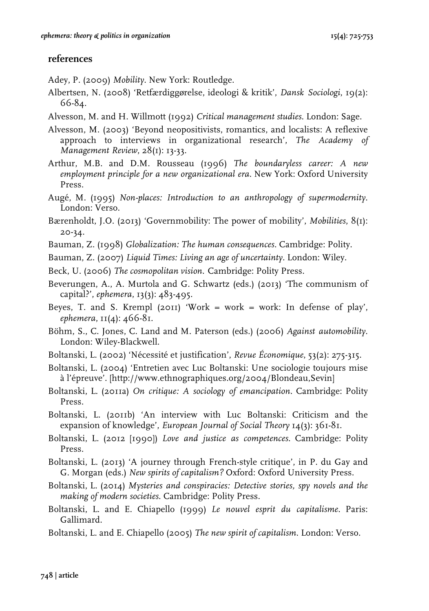# **references**

Adey, P. (2009) *Mobility*. New York: Routledge.

- Albertsen, N. (2008) 'Retfærdiggørelse, ideologi & kritik', *Dansk Sociologi*, 19(2): 66-84.
- Alvesson, M. and H. Willmott (1992) *Critical management studies*. London: Sage.
- Alvesson, M. (2003) 'Beyond neopositivists, romantics, and localists: A reflexive approach to interviews in organizational research', *The Academy of Management Review*, 28(1): 13-33.
- Arthur, M.B. and D.M. Rousseau (1996) *The boundaryless career: A new employment principle for a new organizational era*. New York: Oxford University Press.
- Augé, M. (1995) *Non-places: Introduction to an anthropology of supermodernity*. London: Verso.
- Bærenholdt, J.O. (2013) 'Governmobility: The power of mobility', *Mobilities*, 8(1): 20-34.
- Bauman, Z. (1998) *Globalization: The human consequences*. Cambridge: Polity.
- Bauman, Z. (2007) *Liquid Times: Living an age of uncertainty*. London: Wiley.
- Beck, U. (2006) *The cosmopolitan vision*. Cambridge: Polity Press.
- Beverungen, A., A. Murtola and G. Schwartz (eds.) (2013) 'The communism of capital?', *ephemera*, 13(3): 483-495.
- Beyes, T. and S. Krempl (2011) 'Work = work = work: In defense of play', *ephemera*, 11(4): 466-81.
- Böhm, S., C. Jones, C. Land and M. Paterson (eds.) (2006) *Against automobility*. London: Wiley-Blackwell.
- Boltanski, L. (2002) 'Nécessité et justification', *Revue Économique*, 53(2): 275-315.
- Boltanski, L. (2004) 'Entretien avec Luc Boltanski: Une sociologie toujours mise à l'épreuve'. [http://www.ethnographiques.org/2004/Blondeau,Sevin]
- Boltanski, L. (2011a) *On critique: A sociology of emancipation*. Cambridge: Polity Press.
- Boltanski, L. (2011b) 'An interview with Luc Boltanski: Criticism and the expansion of knowledge', *European Journal of Social Theory* 14(3): 361-81.
- Boltanski, L. (2012 [1990]) *Love and justice as competences*. Cambridge: Polity Press.
- Boltanski, L. (2013) 'A journey through French-style critique', in P. du Gay and G. Morgan (eds.) *New spirits of capitalism?* Oxford: Oxford University Press.
- Boltanski, L. (2014) *Mysteries and conspiracies: Detective stories, spy novels and the making of modern societies*. Cambridge: Polity Press.
- Boltanski, L. and E. Chiapello (1999) *Le nouvel esprit du capitalisme*. Paris: Gallimard.
- Boltanski, L. and E. Chiapello (2005) *The new spirit of capitalism*. London: Verso.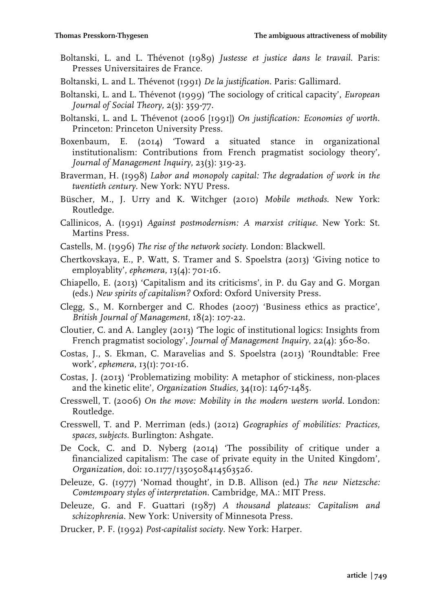- Boltanski, L. and L. Thévenot (1989) *Justesse et justice dans le travail*. Paris: Presses Universitaires de France.
- Boltanski, L. and L. Thévenot (1991) *De la justification.* Paris: Gallimard.
- Boltanski, L. and L. Thévenot (1999) 'The sociology of critical capacity', *European Journal of Social Theory*, 2(3): 359-77.
- Boltanski, L. and L. Thévenot (2006 [1991]) *On justification: Economies of worth*. Princeton: Princeton University Press.
- Boxenbaum, E. (2014) 'Toward a situated stance in organizational institutionalism: Contributions from French pragmatist sociology theory', *Journal of Management Inquiry*, 23(3): 319-23.
- Braverman, H. (1998) *Labor and monopoly capital: The degradation of work in the twentieth century*. New York: NYU Press.
- Büscher, M., J. Urry and K. Witchger (2010) *Mobile methods*. New York: Routledge.
- Callinicos, A. (1991) *Against postmodernism: A marxist critique*. New York: St. Martins Press.
- Castells, M. (1996) *The rise of the network society*. London: Blackwell.
- Chertkovskaya, E., P. Watt, S. Tramer and S. Spoelstra (2013) 'Giving notice to employablity', *ephemera*, 13(4): 701-16.
- Chiapello, E. (2013) 'Capitalism and its criticisms', in P. du Gay and G. Morgan (eds.) *New spirits of capitalism?* Oxford: Oxford University Press.
- Clegg, S., M. Kornberger and C. Rhodes (2007) 'Business ethics as practice', *British Journal of Management*, 18(2): 107-22.
- Cloutier, C. and A. Langley (2013) 'The logic of institutional logics: Insights from French pragmatist sociology', *Journal of Management Inquiry*, 22(4): 360-80.
- Costas, J., S. Ekman, C. Maravelias and S. Spoelstra (2013) 'Roundtable: Free work', *ephemera*, 13(1): 701-16.
- Costas, J. (2013) 'Problematizing mobility: A metaphor of stickiness, non-places and the kinetic elite', *Organization Studies*, 34(10): 1467-1485.
- Cresswell, T. (2006) *On the move: Mobility in the modern western world*. London: Routledge.
- Cresswell, T. and P. Merriman (eds.) (2012) *Geographies of mobilities: Practices, spaces, subjects*. Burlington: Ashgate.
- De Cock, C. and D. Nyberg (2014) 'The possibility of critique under a financialized capitalism: The case of private equity in the United Kingdom', *Organization*, doi: 10.1177/1350508414563526.
- Deleuze, G. (1977) 'Nomad thought', in D.B. Allison (ed.) *The new Nietzsche: Comtempoary styles of interpretation*. Cambridge, MA.: MIT Press.
- Deleuze, G. and F. Guattari (1987) *A thousand plateaus: Capitalism and schizophrenia*. New York: University of Minnesota Press.
- Drucker, P. F. (1992) *Post-capitalist society*. New York: Harper.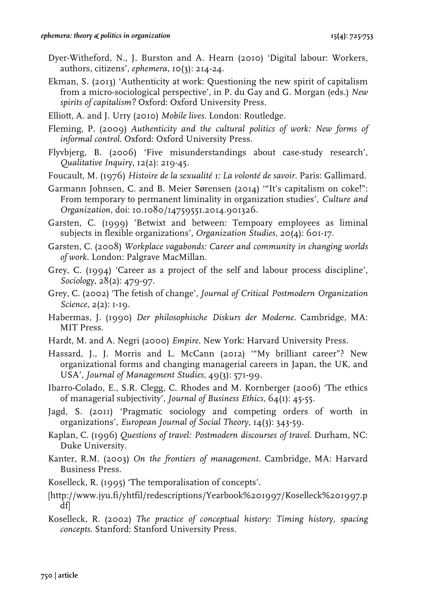- Dyer-Witheford, N., J. Burston and A. Hearn (2010) 'Digital labour: Workers, authors, citizens', *ephemera*, 10(3): 214-24.
- Ekman, S. (2013) 'Authenticity at work: Questioning the new spirit of capitalism from a micro-sociological perspective', in P. du Gay and G. Morgan (eds.) *New spirits of capitalism?* Oxford: Oxford University Press.
- Elliott, A. and J. Urry (2010) *Mobile lives*. London: Routledge.
- Fleming, P. (2009) *Authenticity and the cultural politics of work: New forms of informal control*. Oxford: Oxford University Press.
- Flyvbjerg, B. (2006) 'Five misunderstandings about case-study research', *Qualitative Inquiry*, 12(2): 219-45.
- Foucault, M. (1976) *Histoire de la sexualité 1: La volonté de savoir*. Paris: Gallimard.
- Garmann Johnsen, C. and B. Meier Sørensen (2014) '"It's capitalism on coke!": From temporary to permanent liminality in organization studies', *Culture and Organization*, doi: 10.1080/14759551.2014.901326.
- Garsten, C. (1999) 'Betwixt and between: Tempoary employees as liminal subjects in flexible organizations', *Organization Studies*, 20(4): 601-17.
- Garsten, C. (2008) *Workplace vagabonds: Career and community in changing worlds of work*. London: Palgrave MacMillan.
- Grey, C. (1994) 'Career as a project of the self and labour process discipline', *Sociology*, 28(2): 479-97.
- Grey, C. (2002) 'The fetish of change', *Journal of Critical Postmodern Organization Science*, 2(2): 1-19.
- Habermas, J. (1990) *Der philosophische Diskurs der Moderne*. Cambridge, MA: MIT Press.
- Hardt, M. and A. Negri (2000) *Empire*. New York: Harvard University Press.
- Hassard, J., J. Morris and L. McCann (2012) '"My brilliant career"? New organizational forms and changing managerial careers in Japan, the UK, and USA', *Journal of Management Studies*, 49(3): 571-99.
- Ibarro-Colado, E., S.R. Clegg, C. Rhodes and M. Kornberger (2006) 'The ethics of managerial subjectivity', *Journal of Business Ethics*, 64(1): 45-55.
- Jagd, S. (2011) 'Pragmatic sociology and competing orders of worth in organizations', *European Journal of Social Theory*, 14(3): 343-59.
- Kaplan, C. (1996) *Questions of travel: Postmodern discourses of travel*. Durham, NC: Duke University.
- Kanter, R.M. (2003) *On the frontiers of management*. Cambridge, MA: Harvard Business Press.
- Koselleck, R. (1995) 'The temporalisation of concepts'.
- [http://www.jyu.fi/yhtfil/redescriptions/Yearbook%201997/Koselleck%201997.p df]
- Koselleck, R. (2002) *The practice of conceptual history: Timing history, spacing concepts*. Stanford: Stanford University Press.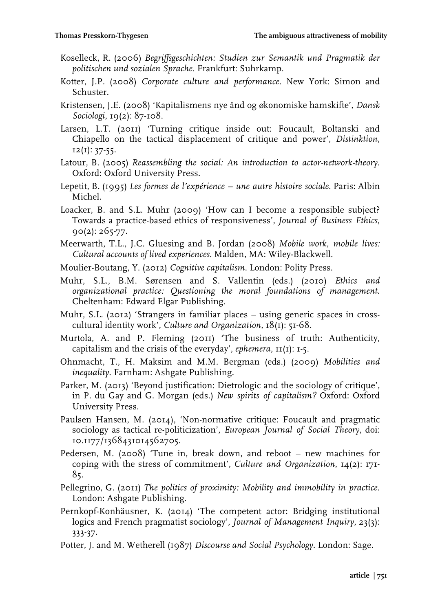- Koselleck, R. (2006) *Begriffsgeschichten: Studien zur Semantik und Pragmatik der politischen und sozialen Sprache*. Frankfurt: Suhrkamp.
- Kotter, J.P. (2008) *Corporate culture and performance*. New York: Simon and Schuster.
- Kristensen, J.E. (2008) 'Kapitalismens nye ånd og økonomiske hamskifte', *Dansk Sociologi*, 19(2): 87-108.
- Larsen, L.T. (2011) 'Turning critique inside out: Foucault, Boltanski and Chiapello on the tactical displacement of critique and power', *Distinktion*, 12(1): 37-55.
- Latour, B. (2005) *Reassembling the social: An introduction to actor-network-theory*. Oxford: Oxford University Press.
- Lepetit, B. (1995) *Les formes de l'expérience – une autre histoire sociale*. Paris: Albin Michel.
- Loacker, B. and S.L. Muhr (2009) 'How can I become a responsible subject? Towards a practice-based ethics of responsiveness', *Journal of Business Ethics*, 90(2): 265-77.
- Meerwarth, T.L., J.C. Gluesing and B. Jordan (2008) *Mobile work, mobile lives: Cultural accounts of lived experiences*. Malden, MA: Wiley-Blackwell.
- Moulier-Boutang, Y. (2012) *Cognitive capitalism*. London: Polity Press.
- Muhr, S.L., B.M. Sørensen and S. Vallentin (eds.) (2010) *Ethics and organizational practice: Questioning the moral foundations of management*. Cheltenham: Edward Elgar Publishing.
- Muhr, S.L. (2012) 'Strangers in familiar places using generic spaces in crosscultural identity work', *Culture and Organization*, 18(1): 51-68.
- Murtola, A. and P. Fleming (2011) 'The business of truth: Authenticity, capitalism and the crisis of the everyday', *ephemera*, 11(1): 1-5.
- Ohnmacht, T., H. Maksim and M.M. Bergman (eds.) (2009) *Mobilities and inequality*. Farnham: Ashgate Publishing.
- Parker, M. (2013) 'Beyond justification: Dietrologic and the sociology of critique', in P. du Gay and G. Morgan (eds.) *New spirits of capitalism?* Oxford: Oxford University Press.
- Paulsen Hansen, M. (2014), 'Non-normative critique: Foucault and pragmatic sociology as tactical re-politicization', *European Journal of Social Theory*, doi: 10.1177/1368431014562705.
- Pedersen, M. (2008) 'Tune in, break down, and reboot new machines for coping with the stress of commitment', *Culture and Organization*, 14(2): 171- 85.
- Pellegrino, G. (2011) *The politics of proximity: Mobility and immobility in practice*. London: Ashgate Publishing.
- Pernkopf-Konhäusner, K. (2014) 'The competent actor: Bridging institutional logics and French pragmatist sociology', *Journal of Management Inquiry*, 23(3): 333-37.
- Potter, J. and M. Wetherell (1987) *Discourse and Social Psychology*. London: Sage.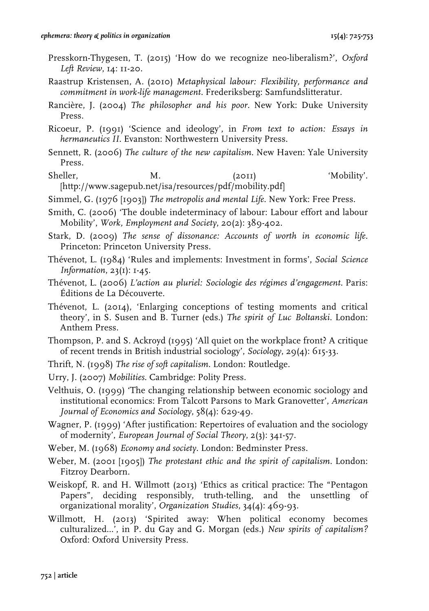- Presskorn-Thygesen, T. (2015) 'How do we recognize neo-liberalism?', *Oxford Left Review*, 14: 11-20.
- Raastrup Kristensen, A. (2010) *Metaphysical labour: Flexibility, performance and commitment in work-life management.* Frederiksberg: Samfundslitteratur.
- Rancière, J. (2004) *The philosopher and his poor*. New York: Duke University Press.
- Ricoeur, P. (1991) 'Science and ideology', in *From text to action: Essays in hermaneutics II*. Evanston: Northwestern University Press.
- Sennett, R. (2006) *The culture of the new capitalism*. New Haven: Yale University Press.
- Sheller, M. M. (2011) 'Mobility'. [http://www.sagepub.net/isa/resources/pdf/mobility.pdf]
- Simmel, G. (1976 [1903]) *The metropolis and mental Life*. New York: Free Press.
- Smith, C. (2006) 'The double indeterminacy of labour: Labour effort and labour Mobility', *Work, Employment and Society*, 20(2): 389-402.
- Stark, D. (2009) *The sense of dissonance: Accounts of worth in economic life.* Princeton: Princeton University Press.
- Thévenot, L. (1984) 'Rules and implements: Investment in forms', *Social Science Information*, 23(1): 1-45.
- Thévenot, L. (2006) *L'action au pluriel: Sociologie des régimes d'engagement*. Paris: Éditions de La Découverte.
- Thévenot, L. (2014), 'Enlarging conceptions of testing moments and critical theory', in S. Susen and B. Turner (eds.) *The spirit of Luc Boltanski*. London: Anthem Press.
- Thompson, P. and S. Ackroyd (1995) 'All quiet on the workplace front? A critique of recent trends in British industrial sociology', *Sociology*, 29(4): 615-33.
- Thrift, N. (1998) *The rise of soft capitalism*. London: Routledge.
- Urry, J. (2007) *Mobilities*. Cambridge: Polity Press.

Velthuis, O. (1999) 'The changing relationship between economic sociology and institutional economics: From Talcott Parsons to Mark Granovetter', *American Journal of Economics and Sociology*, 58(4): 629-49.

Wagner, P. (1999) 'After justification: Repertoires of evaluation and the sociology of modernity', *European Journal of Social Theory*, 2(3): 341-57.

- Weber, M. (1968) *Economy and society*. London: Bedminster Press.
- Weber, M. (2001 [1905]) *The protestant ethic and the spirit of capitalism*. London: Fitzroy Dearborn.
- Weiskopf, R. and H. Willmott (2013) 'Ethics as critical practice: The "Pentagon Papers", deciding responsibly, truth-telling, and the unsettling of organizational morality', *Organization Studies*, 34(4): 469-93.
- Willmott, H. (2013) 'Spirited away: When political economy becomes culturalized...', in P. du Gay and G. Morgan (eds.) *New spirits of capitalism?* Oxford: Oxford University Press.